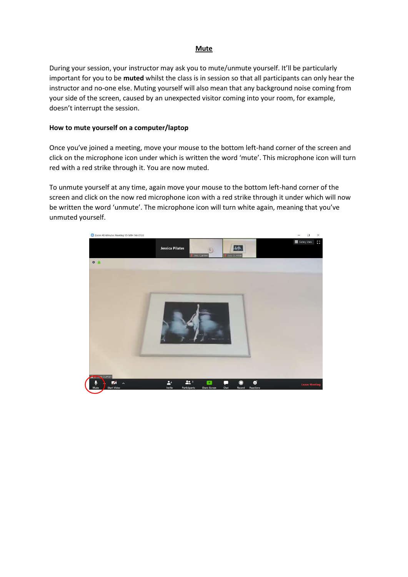# **Mute**

During your session, your instructor may ask you to mute/unmute yourself. It'll be particularly important for you to be **muted** whilst the class is in session so that all participants can only hear the instructor and no-one else. Muting yourself will also mean that any background noise coming from your side of the screen, caused by an unexpected visitor coming into your room, for example, doesn't interrupt the session.

# **How to mute yourself on a computer/laptop**

Once you've joined a meeting, move your mouse to the bottom left-hand corner of the screen and click on the microphone icon under which is written the word 'mute'. This microphone icon will turn red with a red strike through it. You are now muted.

To unmute yourself at any time, again move your mouse to the bottom left-hand corner of the screen and click on the now red microphone icon with a red strike through it under which will now be written the word 'unmute'. The microphone icon will turn white again, meaning that you've unmuted yourself.

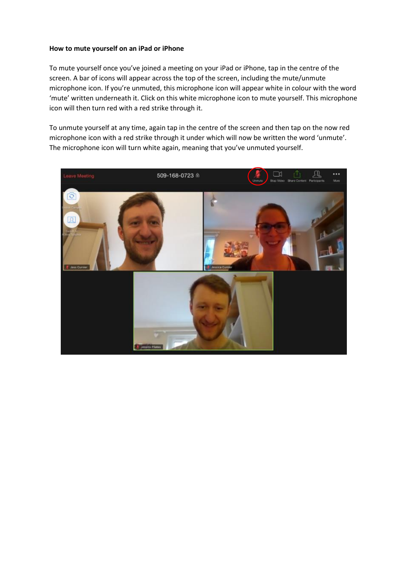## **How to mute yourself on an iPad or iPhone**

To mute yourself once you've joined a meeting on your iPad or iPhone, tap in the centre of the screen. A bar of icons will appear across the top of the screen, including the mute/unmute microphone icon. If you're unmuted, this microphone icon will appear white in colour with the word 'mute' written underneath it. Click on this white microphone icon to mute yourself. This microphone icon will then turn red with a red strike through it.

To unmute yourself at any time, again tap in the centre of the screen and then tap on the now red microphone icon with a red strike through it under which will now be written the word 'unmute'. The microphone icon will turn white again, meaning that you've unmuted yourself.

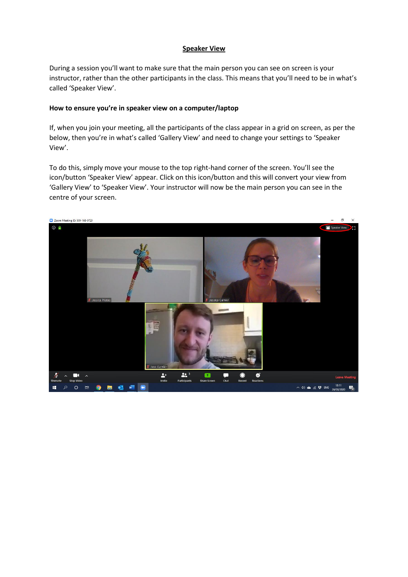# **Speaker View**

During a session you'll want to make sure that the main person you can see on screen is your instructor, rather than the other participants in the class. This means that you'll need to be in what's called 'Speaker View'.

## **How to ensure you're in speaker view on a computer/laptop**

If, when you join your meeting, all the participants of the class appear in a grid on screen, as per the below, then you're in what's called 'Gallery View' and need to change your settings to 'Speaker View'.

To do this, simply move your mouse to the top right-hand corner of the screen. You'll see the icon/button 'Speaker View' appear. Click on this icon/button and this will convert your view from 'Gallery View' to 'Speaker View'. Your instructor will now be the main person you can see in the centre of your screen.